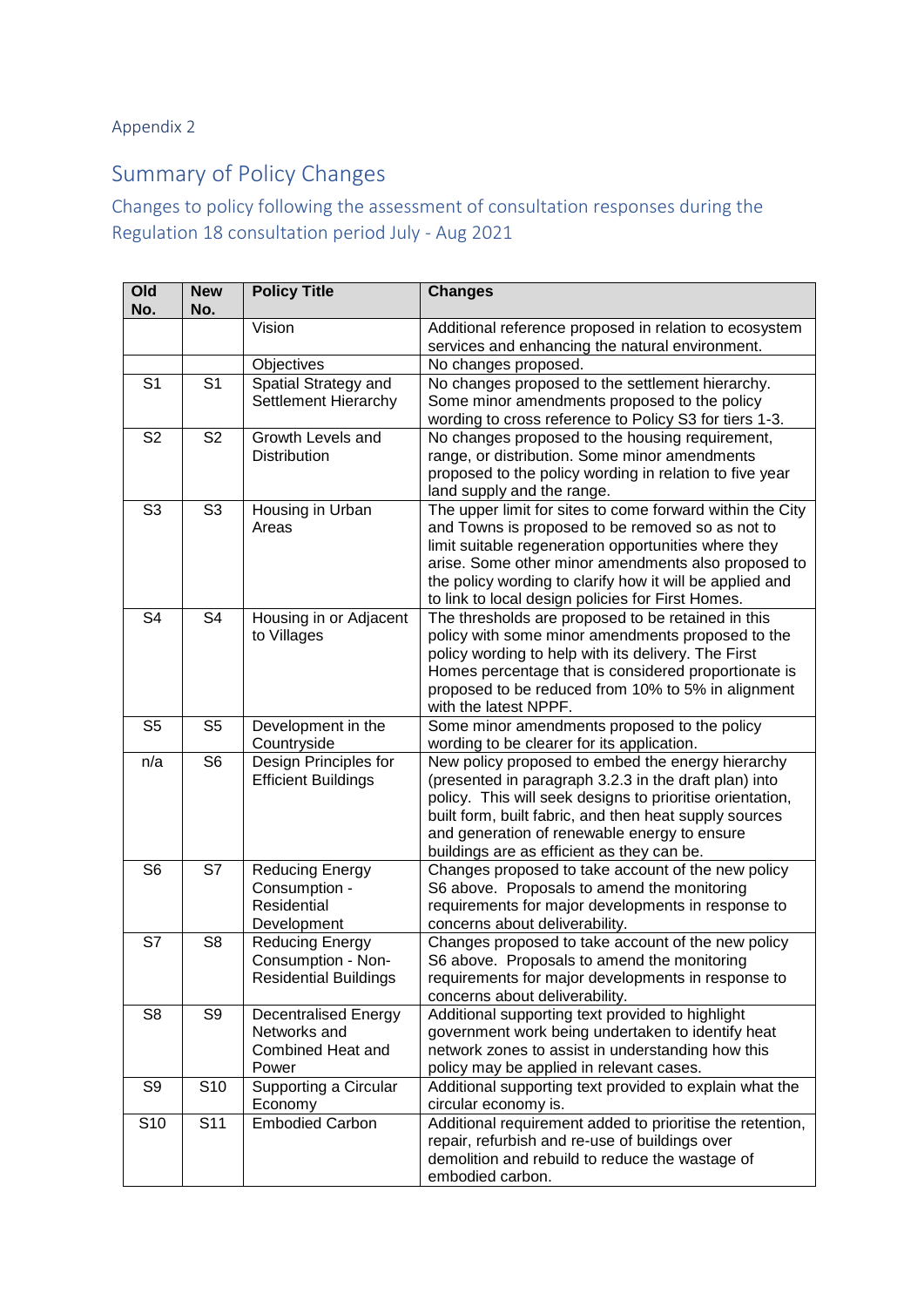## Appendix 2

## Summary of Policy Changes

## Changes to policy following the assessment of consultation responses during the Regulation 18 consultation period July - Aug 2021

| Old<br>No.      | <b>New</b><br>No.        | <b>Policy Title</b>          | <b>Changes</b>                                                                                                |
|-----------------|--------------------------|------------------------------|---------------------------------------------------------------------------------------------------------------|
|                 |                          | Vision                       | Additional reference proposed in relation to ecosystem<br>services and enhancing the natural environment.     |
|                 |                          | Objectives                   | No changes proposed.                                                                                          |
| S <sub>1</sub>  | S <sub>1</sub>           | Spatial Strategy and         | No changes proposed to the settlement hierarchy.                                                              |
|                 |                          | Settlement Hierarchy         | Some minor amendments proposed to the policy                                                                  |
|                 |                          |                              | wording to cross reference to Policy S3 for tiers 1-3.                                                        |
| S <sub>2</sub>  | S <sub>2</sub>           | Growth Levels and            | No changes proposed to the housing requirement,                                                               |
|                 |                          | Distribution                 | range, or distribution. Some minor amendments                                                                 |
|                 |                          |                              | proposed to the policy wording in relation to five year                                                       |
|                 |                          |                              | land supply and the range.                                                                                    |
| S <sub>3</sub>  | S <sub>3</sub>           | Housing in Urban             | The upper limit for sites to come forward within the City                                                     |
|                 |                          | Areas                        | and Towns is proposed to be removed so as not to                                                              |
|                 |                          |                              | limit suitable regeneration opportunities where they                                                          |
|                 |                          |                              | arise. Some other minor amendments also proposed to                                                           |
|                 |                          |                              | the policy wording to clarify how it will be applied and<br>to link to local design policies for First Homes. |
| S <sub>4</sub>  | S <sub>4</sub>           | Housing in or Adjacent       | The thresholds are proposed to be retained in this                                                            |
|                 |                          | to Villages                  | policy with some minor amendments proposed to the                                                             |
|                 |                          |                              | policy wording to help with its delivery. The First                                                           |
|                 |                          |                              | Homes percentage that is considered proportionate is                                                          |
|                 |                          |                              | proposed to be reduced from 10% to 5% in alignment                                                            |
|                 |                          |                              | with the latest NPPF.                                                                                         |
| S <sub>5</sub>  | S <sub>5</sub>           | Development in the           | Some minor amendments proposed to the policy                                                                  |
|                 |                          | Countryside                  | wording to be clearer for its application.                                                                    |
| n/a             | S <sub>6</sub>           | Design Principles for        | New policy proposed to embed the energy hierarchy                                                             |
|                 |                          | <b>Efficient Buildings</b>   | (presented in paragraph 3.2.3 in the draft plan) into                                                         |
|                 |                          |                              | policy. This will seek designs to prioritise orientation,                                                     |
|                 |                          |                              | built form, built fabric, and then heat supply sources                                                        |
|                 |                          |                              | and generation of renewable energy to ensure<br>buildings are as efficient as they can be.                    |
| S <sub>6</sub>  | S7                       | <b>Reducing Energy</b>       | Changes proposed to take account of the new policy                                                            |
|                 |                          | Consumption -                | S6 above. Proposals to amend the monitoring                                                                   |
|                 |                          | Residential                  | requirements for major developments in response to                                                            |
|                 |                          | Development                  | concerns about deliverability.                                                                                |
| S7              | S <sub>8</sub>           | Reducing Energy              | Changes proposed to take account of the new policy                                                            |
|                 |                          | Consumption - Non-           | S6 above. Proposals to amend the monitoring                                                                   |
|                 |                          | <b>Residential Buildings</b> | requirements for major developments in response to                                                            |
|                 |                          |                              | concerns about deliverability.                                                                                |
| S <sub>8</sub>  | S9                       | <b>Decentralised Energy</b>  | Additional supporting text provided to highlight                                                              |
|                 |                          | Networks and                 | government work being undertaken to identify heat                                                             |
|                 |                          | Combined Heat and            | network zones to assist in understanding how this                                                             |
|                 |                          | Power                        | policy may be applied in relevant cases.                                                                      |
| S9              | S <sub>10</sub>          | Supporting a Circular        | Additional supporting text provided to explain what the<br>circular economy is.                               |
| S <sub>10</sub> | $\overline{\text{S}}$ 11 | Economy<br>Embodied Carbon   | Additional requirement added to prioritise the retention,                                                     |
|                 |                          |                              | repair, refurbish and re-use of buildings over                                                                |
|                 |                          |                              | demolition and rebuild to reduce the wastage of                                                               |
|                 |                          |                              | embodied carbon.                                                                                              |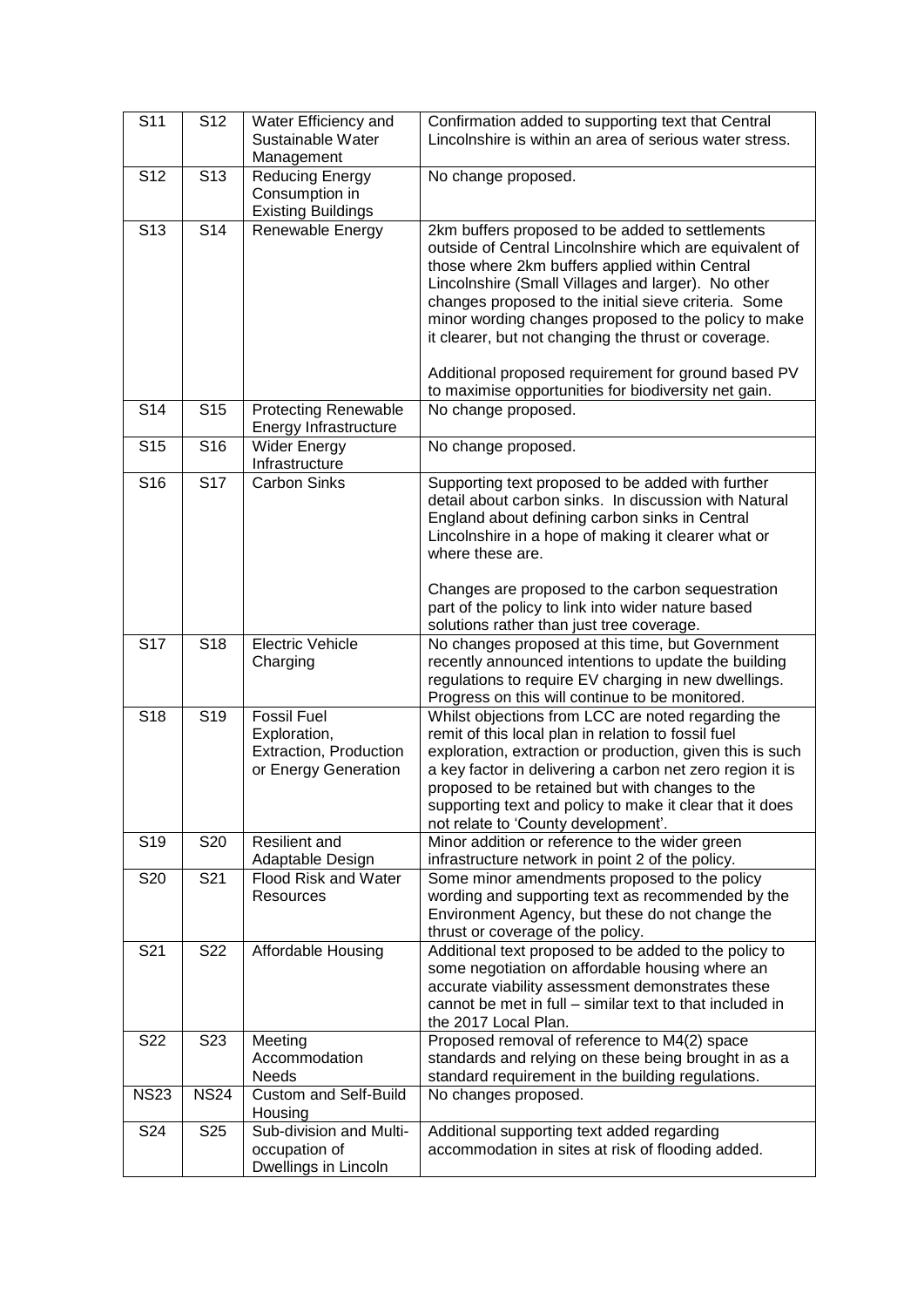| S <sub>11</sub> | S <sub>12</sub> | Water Efficiency and<br>Sustainable Water<br>Management                              | Confirmation added to supporting text that Central<br>Lincolnshire is within an area of serious water stress.                                                                                                                                                                                                                                                                                                                                                                                             |
|-----------------|-----------------|--------------------------------------------------------------------------------------|-----------------------------------------------------------------------------------------------------------------------------------------------------------------------------------------------------------------------------------------------------------------------------------------------------------------------------------------------------------------------------------------------------------------------------------------------------------------------------------------------------------|
| S <sub>12</sub> | S <sub>13</sub> | <b>Reducing Energy</b><br>Consumption in<br><b>Existing Buildings</b>                | No change proposed.                                                                                                                                                                                                                                                                                                                                                                                                                                                                                       |
| S <sub>13</sub> | S <sub>14</sub> | Renewable Energy                                                                     | 2km buffers proposed to be added to settlements<br>outside of Central Lincolnshire which are equivalent of<br>those where 2km buffers applied within Central<br>Lincolnshire (Small Villages and larger). No other<br>changes proposed to the initial sieve criteria. Some<br>minor wording changes proposed to the policy to make<br>it clearer, but not changing the thrust or coverage.<br>Additional proposed requirement for ground based PV<br>to maximise opportunities for biodiversity net gain. |
| S14             | S <sub>15</sub> | <b>Protecting Renewable</b><br>Energy Infrastructure                                 | No change proposed.                                                                                                                                                                                                                                                                                                                                                                                                                                                                                       |
| S <sub>15</sub> | S <sub>16</sub> | <b>Wider Energy</b><br>Infrastructure                                                | No change proposed.                                                                                                                                                                                                                                                                                                                                                                                                                                                                                       |
| S16             | S <sub>17</sub> | <b>Carbon Sinks</b>                                                                  | Supporting text proposed to be added with further<br>detail about carbon sinks. In discussion with Natural<br>England about defining carbon sinks in Central<br>Lincolnshire in a hope of making it clearer what or<br>where these are.<br>Changes are proposed to the carbon sequestration                                                                                                                                                                                                               |
|                 |                 |                                                                                      | part of the policy to link into wider nature based<br>solutions rather than just tree coverage.                                                                                                                                                                                                                                                                                                                                                                                                           |
| S17             | S <sub>18</sub> | <b>Electric Vehicle</b><br>Charging                                                  | No changes proposed at this time, but Government<br>recently announced intentions to update the building<br>regulations to require EV charging in new dwellings.<br>Progress on this will continue to be monitored.                                                                                                                                                                                                                                                                                       |
| S <sub>18</sub> | S <sub>19</sub> | <b>Fossil Fuel</b><br>Exploration,<br>Extraction, Production<br>or Energy Generation | Whilst objections from LCC are noted regarding the<br>remit of this local plan in relation to fossil fuel<br>exploration, extraction or production, given this is such<br>a key factor in delivering a carbon net zero region it is<br>proposed to be retained but with changes to the<br>supporting text and policy to make it clear that it does<br>not relate to 'County development'.                                                                                                                 |
| S <sub>19</sub> | S20             | Resilient and<br>Adaptable Design                                                    | Minor addition or reference to the wider green<br>infrastructure network in point 2 of the policy.                                                                                                                                                                                                                                                                                                                                                                                                        |
| S20             | S21             | Flood Risk and Water<br>Resources                                                    | Some minor amendments proposed to the policy<br>wording and supporting text as recommended by the<br>Environment Agency, but these do not change the<br>thrust or coverage of the policy.                                                                                                                                                                                                                                                                                                                 |
| S21             | S22             | Affordable Housing                                                                   | Additional text proposed to be added to the policy to<br>some negotiation on affordable housing where an<br>accurate viability assessment demonstrates these<br>cannot be met in full – similar text to that included in<br>the 2017 Local Plan.                                                                                                                                                                                                                                                          |
| S <sub>22</sub> | S <sub>23</sub> | Meeting<br>Accommodation<br>Needs                                                    | Proposed removal of reference to M4(2) space<br>standards and relying on these being brought in as a<br>standard requirement in the building regulations.                                                                                                                                                                                                                                                                                                                                                 |
| <b>NS23</b>     | <b>NS24</b>     | Custom and Self-Build<br>Housing                                                     | No changes proposed.                                                                                                                                                                                                                                                                                                                                                                                                                                                                                      |
| S24             | S <sub>25</sub> | Sub-division and Multi-<br>occupation of<br>Dwellings in Lincoln                     | Additional supporting text added regarding<br>accommodation in sites at risk of flooding added.                                                                                                                                                                                                                                                                                                                                                                                                           |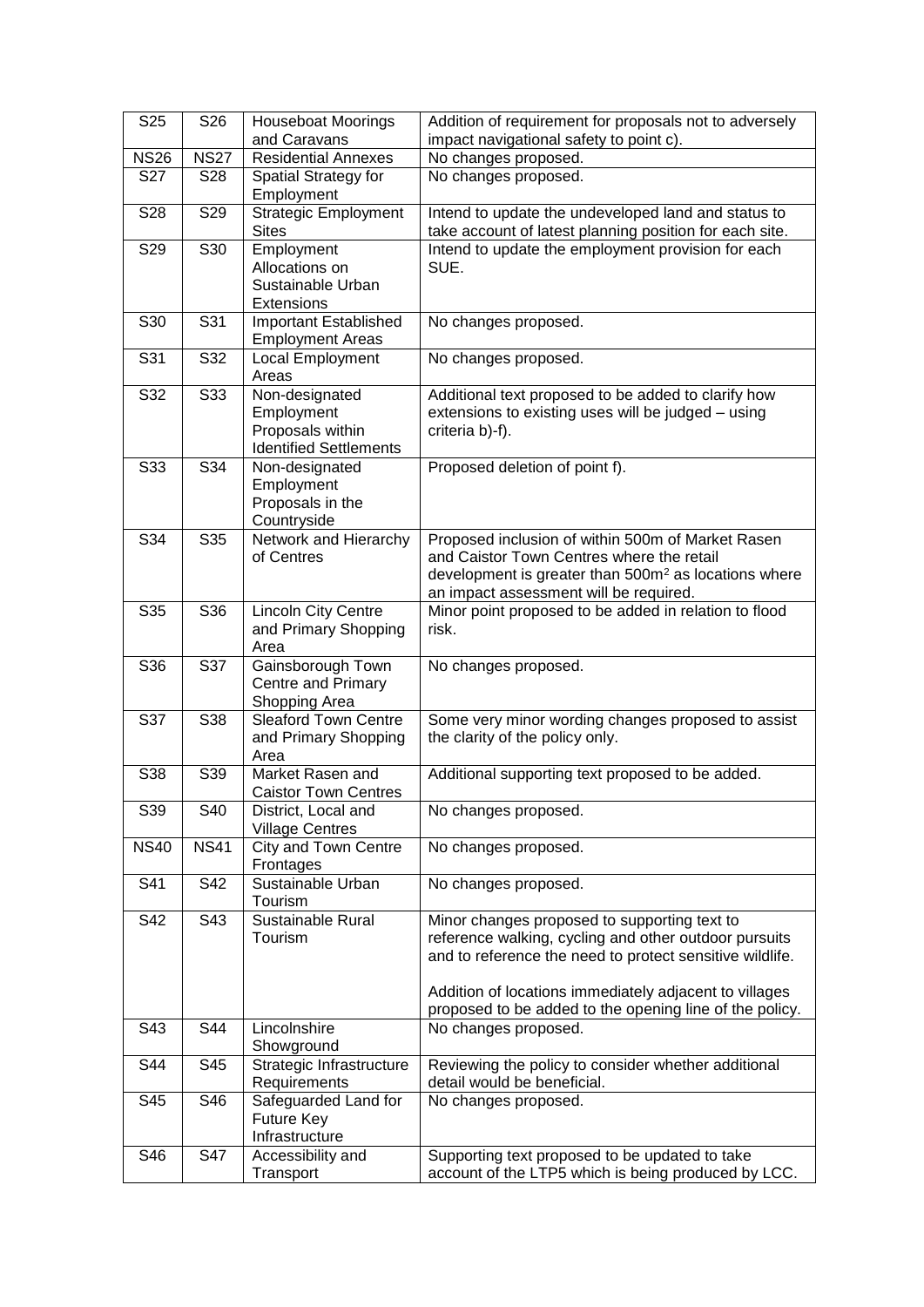| S <sub>25</sub> | S26         | <b>Houseboat Moorings</b><br>and Caravans   | Addition of requirement for proposals not to adversely<br>impact navigational safety to point c).              |
|-----------------|-------------|---------------------------------------------|----------------------------------------------------------------------------------------------------------------|
| <b>NS26</b>     | <b>NS27</b> | <b>Residential Annexes</b>                  | No changes proposed.                                                                                           |
| S27             | <b>S28</b>  |                                             |                                                                                                                |
|                 |             | Spatial Strategy for<br>Employment          | No changes proposed.                                                                                           |
| S28             | S29         | <b>Strategic Employment</b><br><b>Sites</b> | Intend to update the undeveloped land and status to<br>take account of latest planning position for each site. |
| S29             | S30         | Employment                                  | Intend to update the employment provision for each                                                             |
|                 |             | Allocations on                              | SUE.                                                                                                           |
|                 |             |                                             |                                                                                                                |
|                 |             | Sustainable Urban                           |                                                                                                                |
|                 |             | Extensions                                  |                                                                                                                |
| S30             | S31         | <b>Important Established</b>                | No changes proposed.                                                                                           |
|                 |             | <b>Employment Areas</b>                     |                                                                                                                |
| S31             | S32         | Local Employment                            | No changes proposed.                                                                                           |
|                 |             | Areas                                       |                                                                                                                |
| S32             | S33         | Non-designated                              | Additional text proposed to be added to clarify how                                                            |
|                 |             | Employment                                  | extensions to existing uses will be judged - using                                                             |
|                 |             | Proposals within                            | criteria b)-f).                                                                                                |
|                 |             | <b>Identified Settlements</b>               |                                                                                                                |
| S33             | S34         | Non-designated                              | Proposed deletion of point f).                                                                                 |
|                 |             | Employment                                  |                                                                                                                |
|                 |             | Proposals in the                            |                                                                                                                |
|                 |             | Countryside                                 |                                                                                                                |
| S34             | S35         | Network and Hierarchy                       | Proposed inclusion of within 500m of Market Rasen                                                              |
|                 |             | of Centres                                  | and Caistor Town Centres where the retail                                                                      |
|                 |             |                                             | development is greater than 500m <sup>2</sup> as locations where                                               |
|                 |             |                                             | an impact assessment will be required.                                                                         |
| S35             | S36         | <b>Lincoln City Centre</b>                  | Minor point proposed to be added in relation to flood                                                          |
|                 |             | and Primary Shopping                        | risk.                                                                                                          |
|                 |             | Area                                        |                                                                                                                |
| S36             | S37         | Gainsborough Town                           | No changes proposed.                                                                                           |
|                 |             | <b>Centre and Primary</b>                   |                                                                                                                |
|                 |             | Shopping Area                               |                                                                                                                |
| S37             | S38         | <b>Sleaford Town Centre</b>                 | Some very minor wording changes proposed to assist                                                             |
|                 |             | and Primary Shopping                        | the clarity of the policy only.                                                                                |
|                 |             | Area                                        |                                                                                                                |
| S38             | S39         | Market Rasen and                            | Additional supporting text proposed to be added.                                                               |
|                 |             | <b>Caistor Town Centres</b>                 |                                                                                                                |
| S39             | S40         | District, Local and                         | No changes proposed.                                                                                           |
|                 |             | <b>Village Centres</b>                      |                                                                                                                |
| <b>NS40</b>     | <b>NS41</b> | City and Town Centre                        | No changes proposed.                                                                                           |
|                 |             | Frontages                                   |                                                                                                                |
| S41             | S42         | Sustainable Urban                           | No changes proposed.                                                                                           |
|                 |             | Tourism                                     |                                                                                                                |
| S42             | S43         | Sustainable Rural                           | Minor changes proposed to supporting text to                                                                   |
|                 |             | Tourism                                     | reference walking, cycling and other outdoor pursuits                                                          |
|                 |             |                                             | and to reference the need to protect sensitive wildlife.                                                       |
|                 |             |                                             |                                                                                                                |
|                 |             |                                             | Addition of locations immediately adjacent to villages                                                         |
|                 |             |                                             | proposed to be added to the opening line of the policy.                                                        |
| S43             | S44         | Lincolnshire                                | No changes proposed.                                                                                           |
|                 |             | Showground                                  |                                                                                                                |
| S44             | S45         | Strategic Infrastructure                    | Reviewing the policy to consider whether additional                                                            |
|                 |             | Requirements                                | detail would be beneficial.                                                                                    |
| S45             | S46         | Safeguarded Land for                        | No changes proposed.                                                                                           |
|                 |             | Future Key                                  |                                                                                                                |
|                 |             | Infrastructure                              |                                                                                                                |
| S46             | S47         | Accessibility and                           | Supporting text proposed to be updated to take                                                                 |
|                 |             | Transport                                   | account of the LTP5 which is being produced by LCC.                                                            |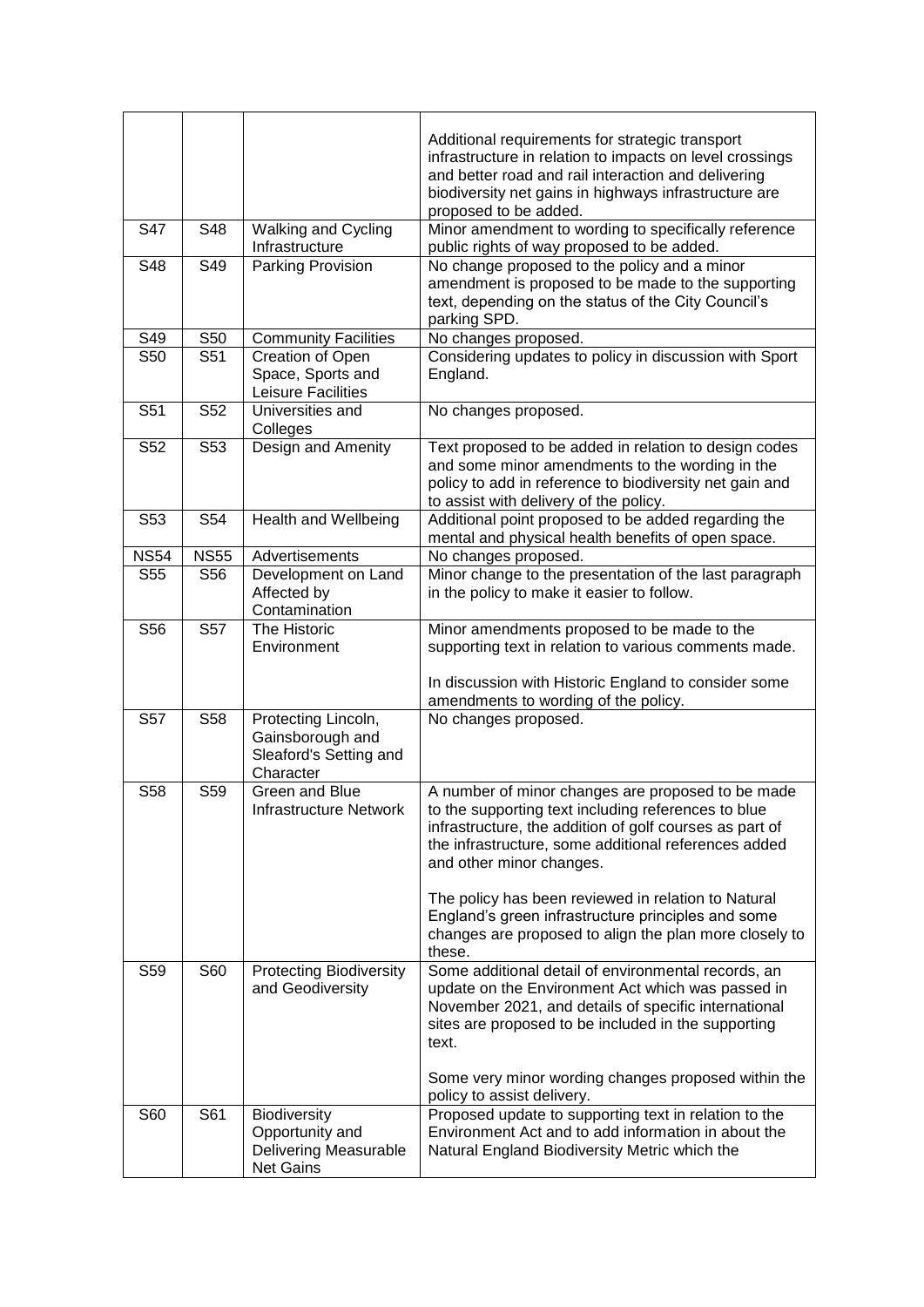|             |                         |                                                                                     | Additional requirements for strategic transport<br>infrastructure in relation to impacts on level crossings<br>and better road and rail interaction and delivering<br>biodiversity net gains in highways infrastructure are<br>proposed to be added.                                                           |
|-------------|-------------------------|-------------------------------------------------------------------------------------|----------------------------------------------------------------------------------------------------------------------------------------------------------------------------------------------------------------------------------------------------------------------------------------------------------------|
| S47         | S48                     | Walking and Cycling<br>Infrastructure                                               | Minor amendment to wording to specifically reference<br>public rights of way proposed to be added.                                                                                                                                                                                                             |
| S48         | S49                     | Parking Provision                                                                   | No change proposed to the policy and a minor<br>amendment is proposed to be made to the supporting<br>text, depending on the status of the City Council's<br>parking SPD.                                                                                                                                      |
| S49         | S50                     | <b>Community Facilities</b>                                                         | No changes proposed.                                                                                                                                                                                                                                                                                           |
| S50         | S51                     | Creation of Open<br>Space, Sports and<br>Leisure Facilities                         | Considering updates to policy in discussion with Sport<br>England.                                                                                                                                                                                                                                             |
| S51         | S <sub>52</sub>         | Universities and<br>Colleges                                                        | No changes proposed.                                                                                                                                                                                                                                                                                           |
| S52         | $\overline{\text{S}}53$ | Design and Amenity                                                                  | Text proposed to be added in relation to design codes<br>and some minor amendments to the wording in the<br>policy to add in reference to biodiversity net gain and<br>to assist with delivery of the policy.                                                                                                  |
| S53         | S54                     | <b>Health and Wellbeing</b>                                                         | Additional point proposed to be added regarding the<br>mental and physical health benefits of open space.                                                                                                                                                                                                      |
| <b>NS54</b> | <b>NS55</b>             | Advertisements                                                                      | No changes proposed.                                                                                                                                                                                                                                                                                           |
| S55         | S56                     | Development on Land<br>Affected by<br>Contamination                                 | Minor change to the presentation of the last paragraph<br>in the policy to make it easier to follow.                                                                                                                                                                                                           |
| S56         | <b>S57</b>              | The Historic<br>Environment                                                         | Minor amendments proposed to be made to the<br>supporting text in relation to various comments made.<br>In discussion with Historic England to consider some<br>amendments to wording of the policy.                                                                                                           |
| S57         | S <sub>58</sub>         | Protecting Lincoln,<br>Gainsborough and<br>Sleaford's Setting and<br>Character      | No changes proposed.                                                                                                                                                                                                                                                                                           |
| S58         | S59                     | Green and Blue<br><b>Infrastructure Network</b>                                     | A number of minor changes are proposed to be made<br>to the supporting text including references to blue<br>infrastructure, the addition of golf courses as part of<br>the infrastructure, some additional references added<br>and other minor changes.<br>The policy has been reviewed in relation to Natural |
|             |                         |                                                                                     | England's green infrastructure principles and some<br>changes are proposed to align the plan more closely to<br>these.                                                                                                                                                                                         |
| S59         | S60                     | <b>Protecting Biodiversity</b><br>and Geodiversity                                  | Some additional detail of environmental records, an<br>update on the Environment Act which was passed in<br>November 2021, and details of specific international<br>sites are proposed to be included in the supporting<br>text.                                                                               |
|             |                         |                                                                                     | Some very minor wording changes proposed within the<br>policy to assist delivery.                                                                                                                                                                                                                              |
| S60         | S61                     | Biodiversity<br>Opportunity and<br><b>Delivering Measurable</b><br><b>Net Gains</b> | Proposed update to supporting text in relation to the<br>Environment Act and to add information in about the<br>Natural England Biodiversity Metric which the                                                                                                                                                  |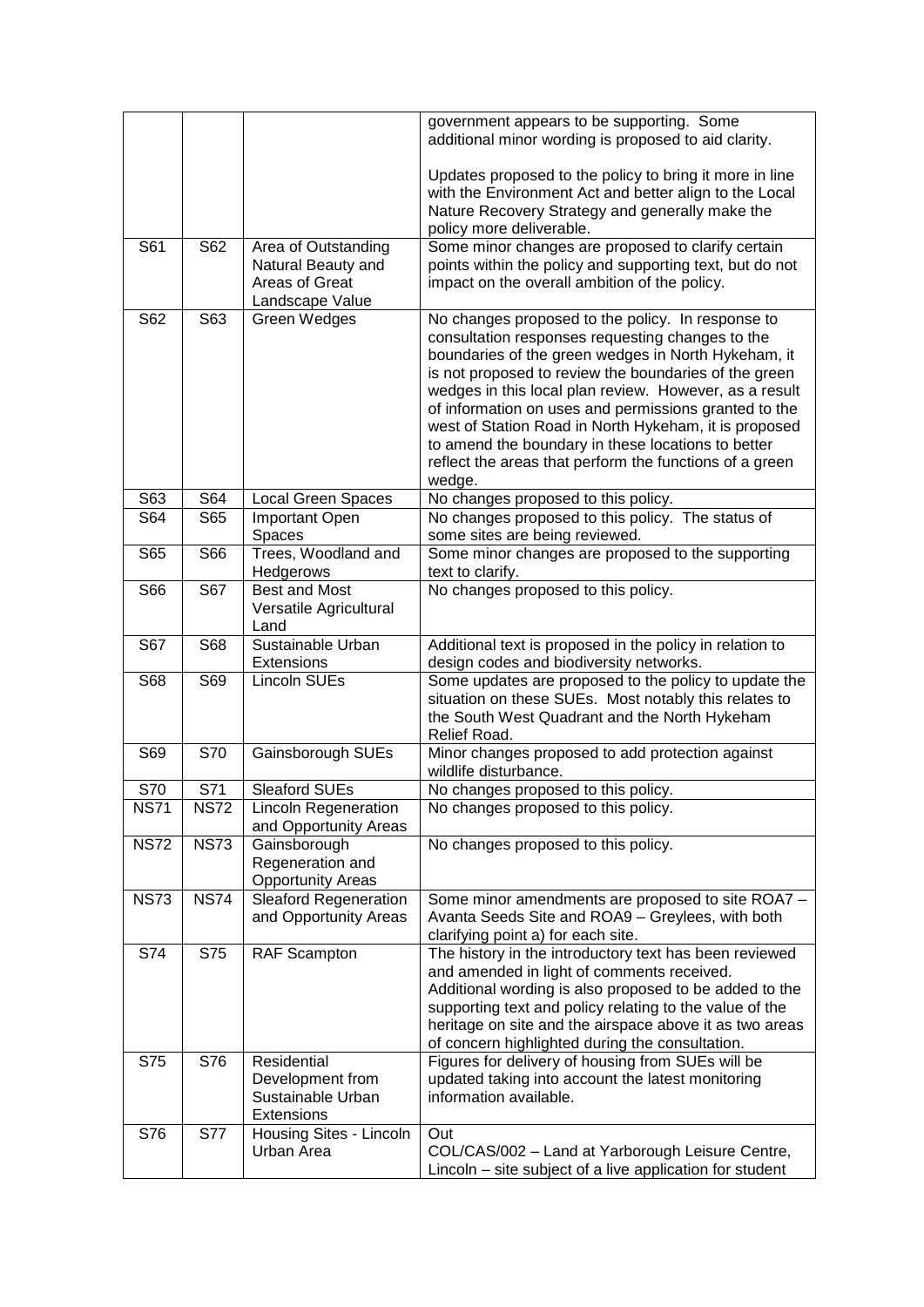|             |             |                                                                                | government appears to be supporting. Some<br>additional minor wording is proposed to aid clarity.                                                                                                                                                                                                                                                                                                                                                                                                                            |
|-------------|-------------|--------------------------------------------------------------------------------|------------------------------------------------------------------------------------------------------------------------------------------------------------------------------------------------------------------------------------------------------------------------------------------------------------------------------------------------------------------------------------------------------------------------------------------------------------------------------------------------------------------------------|
|             |             |                                                                                | Updates proposed to the policy to bring it more in line<br>with the Environment Act and better align to the Local<br>Nature Recovery Strategy and generally make the<br>policy more deliverable.                                                                                                                                                                                                                                                                                                                             |
| S61         | S62         | Area of Outstanding<br>Natural Beauty and<br>Areas of Great<br>Landscape Value | Some minor changes are proposed to clarify certain<br>points within the policy and supporting text, but do not<br>impact on the overall ambition of the policy.                                                                                                                                                                                                                                                                                                                                                              |
| S62         | S63         | Green Wedges                                                                   | No changes proposed to the policy. In response to<br>consultation responses requesting changes to the<br>boundaries of the green wedges in North Hykeham, it<br>is not proposed to review the boundaries of the green<br>wedges in this local plan review. However, as a result<br>of information on uses and permissions granted to the<br>west of Station Road in North Hykeham, it is proposed<br>to amend the boundary in these locations to better<br>reflect the areas that perform the functions of a green<br>wedge. |
| S63         | S64         | <b>Local Green Spaces</b>                                                      | No changes proposed to this policy.                                                                                                                                                                                                                                                                                                                                                                                                                                                                                          |
| S64         | S65         | Important Open<br>Spaces                                                       | No changes proposed to this policy. The status of<br>some sites are being reviewed.                                                                                                                                                                                                                                                                                                                                                                                                                                          |
| S65         | S66         | Trees, Woodland and<br>Hedgerows                                               | Some minor changes are proposed to the supporting<br>text to clarify.                                                                                                                                                                                                                                                                                                                                                                                                                                                        |
| S66         | S67         | Best and Most<br>Versatile Agricultural<br>Land                                | No changes proposed to this policy.                                                                                                                                                                                                                                                                                                                                                                                                                                                                                          |
| S67         | S68         | Sustainable Urban<br>Extensions                                                | Additional text is proposed in the policy in relation to<br>design codes and biodiversity networks.                                                                                                                                                                                                                                                                                                                                                                                                                          |
| S68         | S69         | Lincoln SUEs                                                                   | Some updates are proposed to the policy to update the<br>situation on these SUEs. Most notably this relates to<br>the South West Quadrant and the North Hykeham<br>Relief Road.                                                                                                                                                                                                                                                                                                                                              |
| S69         | S70         | Gainsborough SUEs                                                              | Minor changes proposed to add protection against<br>wildlife disturbance.                                                                                                                                                                                                                                                                                                                                                                                                                                                    |
| S70         | S71         | <b>Sleaford SUEs</b>                                                           | No changes proposed to this policy.                                                                                                                                                                                                                                                                                                                                                                                                                                                                                          |
| <b>NS71</b> | <b>NS72</b> | <b>Lincoln Regeneration</b><br>and Opportunity Areas                           | No changes proposed to this policy.                                                                                                                                                                                                                                                                                                                                                                                                                                                                                          |
| <b>NS72</b> | <b>NS73</b> | Gainsborough<br>Regeneration and<br><b>Opportunity Areas</b>                   | No changes proposed to this policy.                                                                                                                                                                                                                                                                                                                                                                                                                                                                                          |
| <b>NS73</b> | <b>NS74</b> | Sleaford Regeneration<br>and Opportunity Areas                                 | Some minor amendments are proposed to site ROA7 -<br>Avanta Seeds Site and ROA9 - Greylees, with both<br>clarifying point a) for each site.                                                                                                                                                                                                                                                                                                                                                                                  |
| S74         | S75         | <b>RAF Scampton</b>                                                            | The history in the introductory text has been reviewed<br>and amended in light of comments received.<br>Additional wording is also proposed to be added to the<br>supporting text and policy relating to the value of the<br>heritage on site and the airspace above it as two areas<br>of concern highlighted during the consultation.                                                                                                                                                                                      |
| S75         | S76         | Residential<br>Development from<br>Sustainable Urban<br><b>Extensions</b>      | Figures for delivery of housing from SUEs will be<br>updated taking into account the latest monitoring<br>information available.                                                                                                                                                                                                                                                                                                                                                                                             |
| S76         | <b>S77</b>  | Housing Sites - Lincoln<br>Urban Area                                          | Out<br>COL/CAS/002 - Land at Yarborough Leisure Centre,<br>Lincoln - site subject of a live application for student                                                                                                                                                                                                                                                                                                                                                                                                          |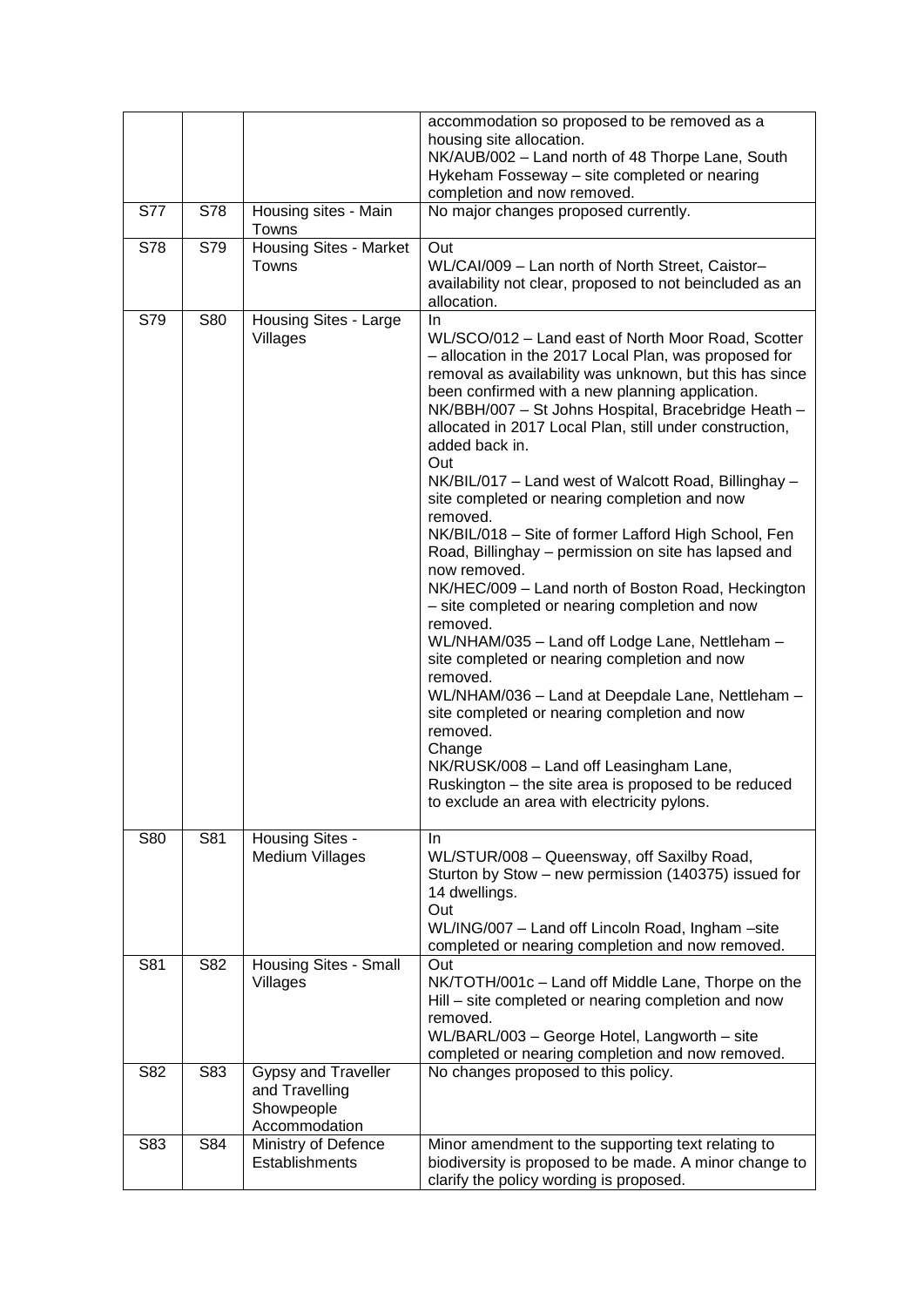|            |     |                                                                             | accommodation so proposed to be removed as a<br>housing site allocation.<br>NK/AUB/002 - Land north of 48 Thorpe Lane, South<br>Hykeham Fosseway - site completed or nearing<br>completion and now removed.                                                                                                                                                                                                                                                                                                                                                                                                                                                                                                                                                                                                                                                                                                                                                                                                                                                                                                                                  |
|------------|-----|-----------------------------------------------------------------------------|----------------------------------------------------------------------------------------------------------------------------------------------------------------------------------------------------------------------------------------------------------------------------------------------------------------------------------------------------------------------------------------------------------------------------------------------------------------------------------------------------------------------------------------------------------------------------------------------------------------------------------------------------------------------------------------------------------------------------------------------------------------------------------------------------------------------------------------------------------------------------------------------------------------------------------------------------------------------------------------------------------------------------------------------------------------------------------------------------------------------------------------------|
| <b>S77</b> | S78 | Housing sites - Main<br>Towns                                               | No major changes proposed currently.                                                                                                                                                                                                                                                                                                                                                                                                                                                                                                                                                                                                                                                                                                                                                                                                                                                                                                                                                                                                                                                                                                         |
| S78        | S79 | Housing Sites - Market<br>Towns                                             | Out<br>WL/CAI/009 - Lan north of North Street, Caistor-<br>availability not clear, proposed to not beincluded as an<br>allocation.                                                                                                                                                                                                                                                                                                                                                                                                                                                                                                                                                                                                                                                                                                                                                                                                                                                                                                                                                                                                           |
| S79        | S80 | Housing Sites - Large<br>Villages                                           | In<br>WL/SCO/012 - Land east of North Moor Road, Scotter<br>- allocation in the 2017 Local Plan, was proposed for<br>removal as availability was unknown, but this has since<br>been confirmed with a new planning application.<br>NK/BBH/007 - St Johns Hospital, Bracebridge Heath -<br>allocated in 2017 Local Plan, still under construction,<br>added back in.<br>Out<br>NK/BIL/017 - Land west of Walcott Road, Billinghay -<br>site completed or nearing completion and now<br>removed.<br>NK/BIL/018 - Site of former Lafford High School, Fen<br>Road, Billinghay - permission on site has lapsed and<br>now removed.<br>NK/HEC/009 - Land north of Boston Road, Heckington<br>- site completed or nearing completion and now<br>removed.<br>WL/NHAM/035 - Land off Lodge Lane, Nettleham -<br>site completed or nearing completion and now<br>removed.<br>WL/NHAM/036 - Land at Deepdale Lane, Nettleham -<br>site completed or nearing completion and now<br>removed.<br>Change<br>NK/RUSK/008 - Land off Leasingham Lane,<br>Ruskington - the site area is proposed to be reduced<br>to exclude an area with electricity pylons. |
| S80        | S81 | Housing Sites -<br>Medium Villages                                          | In.<br>WL/STUR/008 - Queensway, off Saxilby Road,<br>Sturton by Stow - new permission (140375) issued for<br>14 dwellings.<br>Out<br>WL/ING/007 - Land off Lincoln Road, Ingham -site<br>completed or nearing completion and now removed.                                                                                                                                                                                                                                                                                                                                                                                                                                                                                                                                                                                                                                                                                                                                                                                                                                                                                                    |
| S81        | S82 | <b>Housing Sites - Small</b><br>Villages                                    | Out<br>NK/TOTH/001c - Land off Middle Lane, Thorpe on the<br>Hill - site completed or nearing completion and now<br>removed.<br>WL/BARL/003 - George Hotel, Langworth - site<br>completed or nearing completion and now removed.                                                                                                                                                                                                                                                                                                                                                                                                                                                                                                                                                                                                                                                                                                                                                                                                                                                                                                             |
| S82        | S83 | <b>Gypsy and Traveller</b><br>and Travelling<br>Showpeople<br>Accommodation | No changes proposed to this policy.                                                                                                                                                                                                                                                                                                                                                                                                                                                                                                                                                                                                                                                                                                                                                                                                                                                                                                                                                                                                                                                                                                          |
| S83        | S84 | Ministry of Defence<br>Establishments                                       | Minor amendment to the supporting text relating to<br>biodiversity is proposed to be made. A minor change to<br>clarify the policy wording is proposed.                                                                                                                                                                                                                                                                                                                                                                                                                                                                                                                                                                                                                                                                                                                                                                                                                                                                                                                                                                                      |